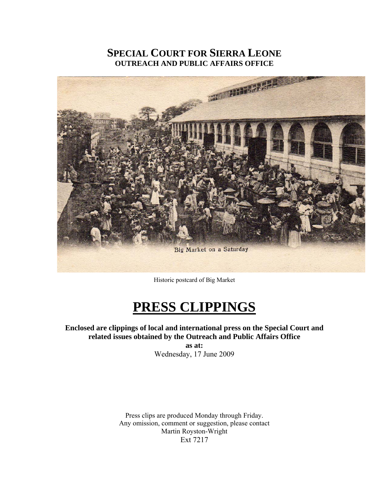# **SPECIAL COURT FOR SIERRA LEONE OUTREACH AND PUBLIC AFFAIRS OFFICE**



Historic postcard of Big Market

# **PRESS CLIPPINGS**

**Enclosed are clippings of local and international press on the Special Court and related issues obtained by the Outreach and Public Affairs Office** 

**as at:**  Wednesday, 17 June 2009

Press clips are produced Monday through Friday. Any omission, comment or suggestion, please contact Martin Royston-Wright Ext 7217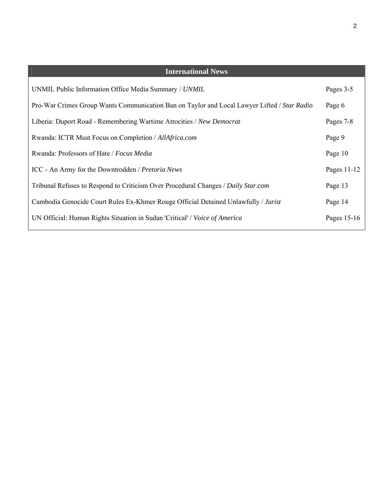| <b>International News</b>                                                                   |             |
|---------------------------------------------------------------------------------------------|-------------|
| UNMIL Public Information Office Media Summary / UNMIL                                       | Pages 3-5   |
| Pro-War Crimes Group Wants Communication Ban on Taylor and Local Lawyer Lifted / Star Radio | Page 6      |
| Liberia: Duport Road - Remembering Wartime Atrocities / New Democrat                        | Pages 7-8   |
| Rwanda: ICTR Must Focus on Completion / AllAfrica.com                                       | Page 9      |
| Rwanda: Professors of Hate / Focus Media                                                    | Page 10     |
| ICC - An Army for the Downtrodden / Pretoria News                                           | Pages 11-12 |
| Tribunal Refuses to Respond to Criticism Over Procedural Changes / Daily Star.com           | Page 13     |
| Cambodia Genocide Court Rules Ex-Khmer Rouge Official Detained Unlawfully / Jurist          | Page 14     |
| UN Official: Human Rights Situation in Sudan 'Critical' / Voice of America                  | Pages 15-16 |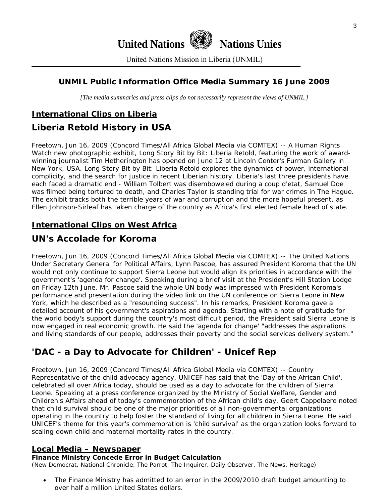

United Nations Mission in Liberia (UNMIL)

# **UNMIL Public Information Office Media Summary 16 June 2009**

*[The media summaries and press clips do not necessarily represent the views of UNMIL.]* 

# **International Clips on Liberia**

# **Liberia Retold History in USA**

Freetown, Jun 16, 2009 (Concord Times/All Africa Global Media via COMTEX) -- A Human Rights Watch new photographic exhibit, Long Story Bit by Bit: Liberia Retold, featuring the work of awardwinning journalist Tim Hetherington has opened on June 12 at Lincoln Center's Furman Gallery in New York, USA. Long Story Bit by Bit: Liberia Retold explores the dynamics of power, international complicity, and the search for justice in recent Liberian history. Liberia's last three presidents have each faced a dramatic end - William Tolbert was disemboweled during a coup d'etat, Samuel Doe was filmed being tortured to death, and Charles Taylor is standing trial for war crimes in The Hague. The exhibit tracks both the terrible years of war and corruption and the more hopeful present, as Ellen Johnson-Sirleaf has taken charge of the country as Africa's first elected female head of state.

# **International Clips on West Africa**

# **UN's Accolade for Koroma**

Freetown, Jun 16, 2009 (Concord Times/All Africa Global Media via COMTEX) -- The United Nations Under Secretary General for Political Affairs, Lynn Pascoe, has assured President Koroma that the UN would not only continue to support Sierra Leone but would align its priorities in accordance with the government's 'agenda for change'. Speaking during a brief visit at the President's Hill Station Lodge on Friday 12th June, Mr. Pascoe said the whole UN body was impressed with President Koroma's performance and presentation during the video link on the UN conference on Sierra Leone in New York, which he described as a "resounding success". In his remarks, President Koroma gave a detailed account of his government's aspirations and agenda. Starting with a note of gratitude for the world body's support during the country's most difficult period, the President said Sierra Leone is now engaged in real economic growth. He said the 'agenda for change' "addresses the aspirations and living standards of our people, addresses their poverty and the social services delivery system."

# **'DAC - a Day to Advocate for Children' - Unicef Rep**

Freetown, Jun 16, 2009 (Concord Times/All Africa Global Media via COMTEX) -- Country Representative of the child advocacy agency, UNICEF has said that the 'Day of the African Child', celebrated all over Africa today, should be used as a day to advocate for the children of Sierra Leone. Speaking at a press conference organized by the Ministry of Social Welfare, Gender and Children's Affairs ahead of today's commemoration of the African child's day, Geert Cappelaere noted that child survival should be one of the major priorities of all non-governmental organizations operating in the country to help foster the standard of living for all children in Sierra Leone. He said UNICEF's theme for this year's commemoration is 'child survival' as the organization looks forward to scaling down child and maternal mortality rates in the country.

## **Local Media – Newspaper**

#### **Finance Ministry Concede Error in Budget Calculation**

(New Democrat, National Chronicle, The Parrot, The Inquirer, Daily Observer, The News, Heritage)

• The Finance Ministry has admitted to an error in the 2009/2010 draft budget amounting to over half a million United States dollars.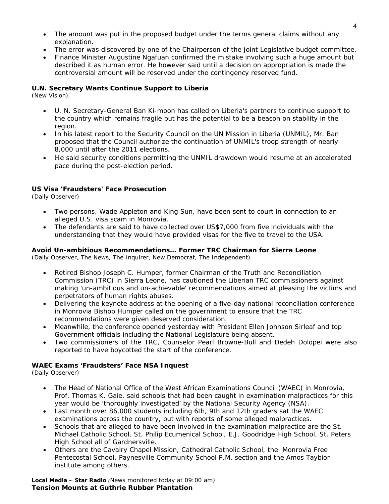- The amount was put in the proposed budget under the terms general claims without any explanation.
- The error was discovered by one of the Chairperson of the joint Legislative budget committee.
- Finance Minister Augustine Ngafuan confirmed the mistake involving such a huge amount but described it as human error. He however said until a decision on appropriation is made the controversial amount will be reserved under the contingency reserved fund.

#### **U.N. Secretary Wants Continue Support to Liberia**

(New Vision)

- U. N. Secretary-General Ban Ki-moon has called on Liberia's partners to continue support to the country which remains fragile but has the potential to be a beacon on stability in the region.
- In his latest report to the Security Council on the UN Mission in Liberia (UNMIL), Mr. Ban proposed that the Council authorize the continuation of UNMIL's troop strength of nearly 8,000 until after the 2011 elections.
- He said security conditions permitting the UNMIL drawdown would resume at an accelerated pace during the post-election period.

#### **US Visa 'Fraudsters' Face Prosecution**

(Daily Observer)

- Two persons, Wade Appleton and King Sun, have been sent to court in connection to an alleged U.S. visa scam in Monrovia.
- The defendants are said to have collected over US\$7,000 from five individuals with the understanding that they would have provided visas for the five to travel to the USA.

#### **Avoid Un-ambitious Recommendations… Former TRC Chairman for Sierra Leone**

(Daily Observer, The News, The Inquirer, New Democrat, The Independent)

- Retired Bishop Joseph C. Humper, former Chairman of the Truth and Reconciliation Commission (TRC) in Sierra Leone, has cautioned the Liberian TRC commissioners against making 'un-ambitious and un-achievable' recommendations aimed at pleasing the victims and perpetrators of human rights abuses.
- Delivering the keynote address at the opening of a five-day national reconciliation conference in Monrovia Bishop Humper called on the government to ensure that the TRC recommendations were given deserved consideration.
- Meanwhile, the conference opened yesterday with President Ellen Johnson Sirleaf and top Government officials including the National Legislature being absent.
- Two commissioners of the TRC, Counselor Pearl Browne-Bull and Dedeh Dolopei were also reported to have boycotted the start of the conference.

#### **WAEC Exams 'Fraudsters' Face NSA Inquest**

(Daily Observer)

- The Head of National Office of the West African Examinations Council (WAEC) in Monrovia, Prof. Thomas K. Gaie, said schools that had been caught in examination malpractices for this year would be 'thoroughly investigated' by the National Security Agency (NSA).
- Last month over 86,000 students including 6th, 9th and 12th graders sat the WAEC examinations across the country, but with reports of some alleged malpractices.
- Schools that are alleged to have been involved in the examination malpractice are the St. Michael Catholic School, St. Philip Ecumenical School, E.J. Goodridge High School, St. Peters High School all of Gardnersville.
- Others are the Cavalry Chapel Mission, Cathedral Catholic School, the Monrovia Free Pentecostal School, Paynesville Community School P.M. section and the Amos Taybior institute among others.

**Local Media – Star Radio** *(News monitored today at 09:00 am)*  **Tension Mounts at Guthrie Rubber Plantation**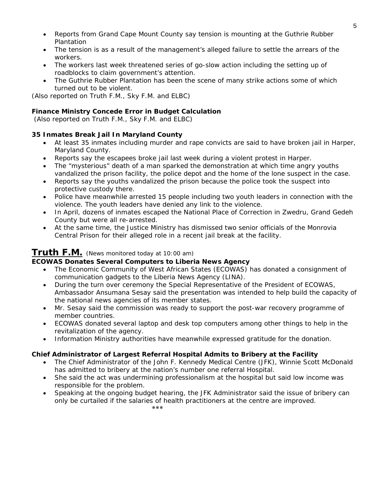- Reports from Grand Cape Mount County say tension is mounting at the Guthrie Rubber Plantation
- The tension is as a result of the management's alleged failure to settle the arrears of the workers.
- The workers last week threatened series of go-slow action including the setting up of roadblocks to claim government's attention.
- The Guthrie Rubber Plantation has been the scene of many strike actions some of which turned out to be violent.

*(Also reported on Truth F.M., Sky F.M. and ELBC*)

### **Finance Ministry Concede Error in Budget Calculation**

 *(Also reported on Truth F.M., Sky F.M. and ELBC*)

### **35 Inmates Break Jail In Maryland County**

- At least 35 inmates including murder and rape convicts are said to have broken jail in Harper, Maryland County.
- Reports say the escapees broke jail last week during a violent protest in Harper.
- The "mysterious" death of a man sparked the demonstration at which time angry youths vandalized the prison facility, the police depot and the home of the lone suspect in the case.
- Reports say the youths vandalized the prison because the police took the suspect into protective custody there.
- Police have meanwhile arrested 15 people including two youth leaders in connection with the violence. The youth leaders have denied any link to the violence.
- In April, dozens of inmates escaped the National Place of Correction in Zwedru, Grand Gedeh County but were all re-arrested.
- At the same time, the Justice Ministry has dismissed two senior officials of the Monrovia Central Prison for their alleged role in a recent jail break at the facility.

# **Truth F.M.** *(News monitored today at 10:00 am)*

#### **ECOWAS Donates Several Computers to Liberia News Agency**

- The Economic Community of West African States (ECOWAS) has donated a consignment of communication gadgets to the Liberia News Agency (LINA).
- During the turn over ceremony the Special Representative of the President of ECOWAS, Ambassador Ansumana Sesay said the presentation was intended to help build the capacity of the national news agencies of its member states.
- Mr. Sesay said the commission was ready to support the post-war recovery programme of member countries.
- ECOWAS donated several laptop and desk top computers among other things to help in the revitalization of the agency.
- Information Ministry authorities have meanwhile expressed gratitude for the donation.

#### **Chief Administrator of Largest Referral Hospital Admits to Bribery at the Facility**

- The Chief Administrator of the John F. Kennedy Medical Centre (JFK), Winnie Scott McDonald has admitted to bribery at the nation's number one referral Hospital.
- She said the act was undermining professionalism at the hospital but said low income was responsible for the problem.
- Speaking at the ongoing budget hearing, the JFK Administrator said the issue of bribery can only be curtailed if the salaries of health practitioners at the centre are improved. \*\*\*\*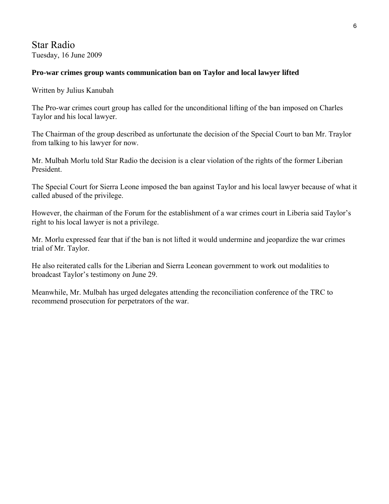# Star Radio Tuesday, 16 June 2009

## **Pro-war crimes group wants communication ban on Taylor and local lawyer lifted**

Written by Julius Kanubah

The Pro-war crimes court group has called for the unconditional lifting of the ban imposed on Charles Taylor and his local lawyer.

The Chairman of the group described as unfortunate the decision of the Special Court to ban Mr. Traylor from talking to his lawyer for now.

Mr. Mulbah Morlu told Star Radio the decision is a clear violation of the rights of the former Liberian President.

The Special Court for Sierra Leone imposed the ban against Taylor and his local lawyer because of what it called abused of the privilege.

However, the chairman of the Forum for the establishment of a war crimes court in Liberia said Taylor's right to his local lawyer is not a privilege.

Mr. Morlu expressed fear that if the ban is not lifted it would undermine and jeopardize the war crimes trial of Mr. Taylor.

He also reiterated calls for the Liberian and Sierra Leonean government to work out modalities to broadcast Taylor's testimony on June 29.

Meanwhile, Mr. Mulbah has urged delegates attending the reconciliation conference of the TRC to recommend prosecution for perpetrators of the war.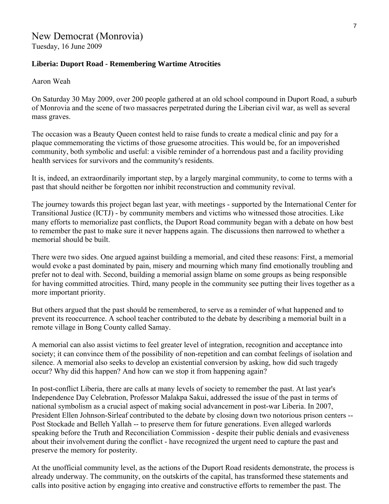#### **Liberia: Duport Road - Remembering Wartime Atrocities**

Aaron Weah

On Saturday 30 May 2009, over 200 people gathered at an old school compound in Duport Road, a suburb of Monrovia and the scene of two massacres perpetrated during the Liberian civil war, as well as several mass graves.

The occasion was a Beauty Queen contest held to raise funds to create a medical clinic and pay for a plaque commemorating the victims of those gruesome atrocities. This would be, for an impoverished community, both symbolic and useful: a visible reminder of a horrendous past and a facility providing health services for survivors and the community's residents.

It is, indeed, an extraordinarily important step, by a largely marginal community, to come to terms with a past that should neither be forgotten nor inhibit reconstruction and community revival.

The journey towards this project began last year, with meetings - supported by the International Center for Transitional Justice (ICTJ) - by community members and victims who witnessed those atrocities. Like many efforts to memorialize past conflicts, the Duport Road community began with a debate on how best to remember the past to make sure it never happens again. The discussions then narrowed to whether a memorial should be built.

There were two sides. One argued against building a memorial, and cited these reasons: First, a memorial would evoke a past dominated by pain, misery and mourning which many find emotionally troubling and prefer not to deal with. Second, building a memorial assign blame on some groups as being responsible for having committed atrocities. Third, many people in the community see putting their lives together as a more important priority.

But others argued that the past should be remembered, to serve as a reminder of what happened and to prevent its reoccurrence. A school teacher contributed to the debate by describing a memorial built in a remote village in Bong County called Samay.

A memorial can also assist victims to feel greater level of integration, recognition and acceptance into society; it can convince them of the possibility of non-repetition and can combat feelings of isolation and silence. A memorial also seeks to develop an existential conversion by asking, how did such tragedy occur? Why did this happen? And how can we stop it from happening again?

In post-conflict Liberia, there are calls at many levels of society to remember the past. At last year's Independence Day Celebration, Professor Malakpa Sakui, addressed the issue of the past in terms of national symbolism as a crucial aspect of making social advancement in post-war Liberia. In 2007, President Ellen Johnson-Sirleaf contributed to the debate by closing down two notorious prison centers -- Post Stockade and Belleh Yallah -- to preserve them for future generations. Even alleged warlords speaking before the Truth and Reconciliation Commission - despite their public denials and evasiveness about their involvement during the conflict - have recognized the urgent need to capture the past and preserve the memory for posterity.

At the unofficial community level, as the actions of the Duport Road residents demonstrate, the process is already underway. The community, on the outskirts of the capital, has transformed these statements and calls into positive action by engaging into creative and constructive efforts to remember the past. The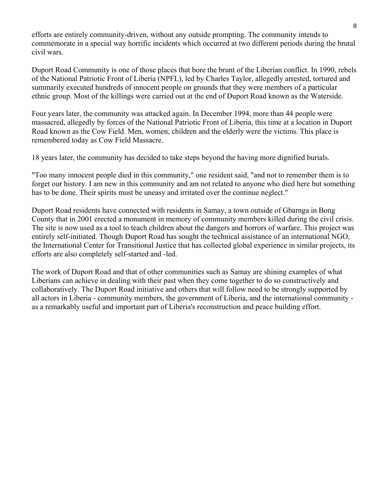efforts are entirely community-driven, without any outside prompting. The community intends to commemorate in a special way horrific incidents which occurred at two different periods during the brutal civil wars.

Duport Road Community is one of those places that bore the brunt of the Liberian conflict. In 1990, rebels of the National Patriotic Front of Liberia (NPFL), led by Charles Taylor, allegedly arrested, tortured and summarily executed hundreds of innocent people on grounds that they were members of a particular ethnic group. Most of the killings were carried out at the end of Duport Road known as the Waterside.

Four years later, the community was attacked again. In December 1994, more than 44 people were massacred, allegedly by forces of the National Patriotic Front of Liberia, this time at a location in Duport Road known as the Cow Field. Men, women, children and the elderly were the victims. This place is remembered today as Cow Field Massacre.

18 years later, the community has decided to take steps beyond the having more dignified burials.

"Too many innocent people died in this community," one resident said, "and not to remember them is to forget our history. I am new in this community and am not related to anyone who died here but something has to be done. Their spirits must be uneasy and irritated over the continue neglect."

Duport Road residents have connected with residents in Samay, a town outside of Gbarnga in Bong County that in 2001 erected a monument in memory of community members killed during the civil crisis. The site is now used as a tool to teach children about the dangers and horrors of warfare. This project was entirely self-initiated. Though Duport Road has sought the technical assistance of an international NGO, the International Center for Transitional Justice that has collected global experience in similar projects, its efforts are also completely self-started and -led.

The work of Duport Road and that of other communities such as Samay are shining examples of what Liberians can achieve in dealing with their past when they come together to do so constructively and collaboratively. The Duport Road initiative and others that will follow need to be strongly supported by all actors in Liberia - community members, the government of Liberia, and the international community as a remarkably useful and important part of Liberia's reconstruction and peace building effort.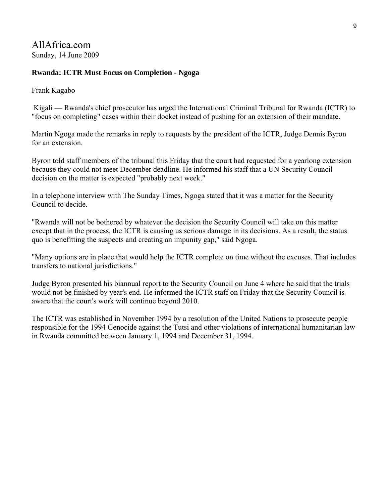AllAfrica.com Sunday, 14 June 2009

### **Rwanda: ICTR Must Focus on Completion - Ngoga**

Frank Kagabo

 Kigali — Rwanda's chief prosecutor has urged the International Criminal Tribunal for Rwanda (ICTR) to "focus on completing" cases within their docket instead of pushing for an extension of their mandate.

Martin Ngoga made the remarks in reply to requests by the president of the ICTR, Judge Dennis Byron for an extension.

Byron told staff members of the tribunal this Friday that the court had requested for a yearlong extension because they could not meet December deadline. He informed his staff that a UN Security Council decision on the matter is expected "probably next week."

In a telephone interview with The Sunday Times, Ngoga stated that it was a matter for the Security Council to decide.

"Rwanda will not be bothered by whatever the decision the Security Council will take on this matter except that in the process, the ICTR is causing us serious damage in its decisions. As a result, the status quo is benefitting the suspects and creating an impunity gap," said Ngoga.

"Many options are in place that would help the ICTR complete on time without the excuses. That includes transfers to national jurisdictions."

Judge Byron presented his biannual report to the Security Council on June 4 where he said that the trials would not be finished by year's end. He informed the ICTR staff on Friday that the Security Council is aware that the court's work will continue beyond 2010.

The ICTR was established in November 1994 by a resolution of the United Nations to prosecute people responsible for the 1994 Genocide against the Tutsi and other violations of international humanitarian law in Rwanda committed between January 1, 1994 and December 31, 1994.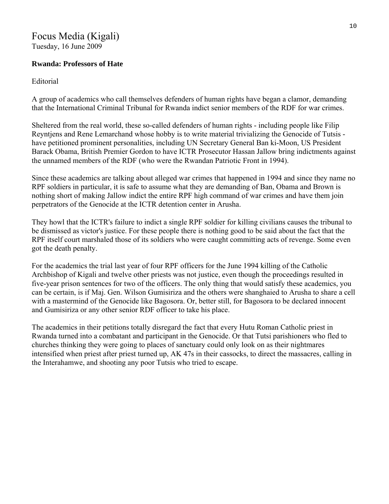# Focus Media (Kigali)

Tuesday, 16 June 2009

# **Rwanda: Professors of Hate**

Editorial

A group of academics who call themselves defenders of human rights have began a clamor, demanding that the International Criminal Tribunal for Rwanda indict senior members of the RDF for war crimes.

Sheltered from the real world, these so-called defenders of human rights - including people like Filip Reyntjens and Rene Lemarchand whose hobby is to write material trivializing the Genocide of Tutsis have petitioned prominent personalities, including UN Secretary General Ban ki-Moon, US President Barack Obama, British Premier Gordon to have ICTR Prosecutor Hassan Jallow bring indictments against the unnamed members of the RDF (who were the Rwandan Patriotic Front in 1994).

Since these academics are talking about alleged war crimes that happened in 1994 and since they name no RPF soldiers in particular, it is safe to assume what they are demanding of Ban, Obama and Brown is nothing short of making Jallow indict the entire RPF high command of war crimes and have them join perpetrators of the Genocide at the ICTR detention center in Arusha.

They howl that the ICTR's failure to indict a single RPF soldier for killing civilians causes the tribunal to be dismissed as victor's justice. For these people there is nothing good to be said about the fact that the RPF itself court marshaled those of its soldiers who were caught committing acts of revenge. Some even got the death penalty.

For the academics the trial last year of four RPF officers for the June 1994 killing of the Catholic Archbishop of Kigali and twelve other priests was not justice, even though the proceedings resulted in five-year prison sentences for two of the officers. The only thing that would satisfy these academics, you can be certain, is if Maj. Gen. Wilson Gumisiriza and the others were shanghaied to Arusha to share a cell with a mastermind of the Genocide like Bagosora. Or, better still, for Bagosora to be declared innocent and Gumisiriza or any other senior RDF officer to take his place.

The academics in their petitions totally disregard the fact that every Hutu Roman Catholic priest in Rwanda turned into a combatant and participant in the Genocide. Or that Tutsi parishioners who fled to churches thinking they were going to places of sanctuary could only look on as their nightmares intensified when priest after priest turned up, AK 47s in their cassocks, to direct the massacres, calling in the Interahamwe, and shooting any poor Tutsis who tried to escape.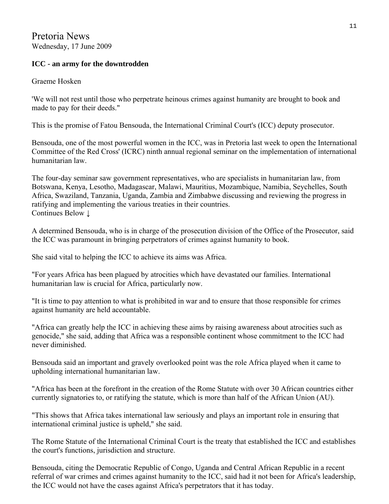Pretoria News Wednesday, 17 June 2009

# **ICC - an army for the downtrodden**

Graeme Hosken

'We will not rest until those who perpetrate heinous crimes against humanity are brought to book and made to pay for their deeds."

This is the promise of Fatou Bensouda, the International Criminal Court's (ICC) deputy prosecutor.

Bensouda, one of the most powerful women in the ICC, was in Pretoria last week to open the International Committee of the Red Cross' (ICRC) ninth annual regional seminar on the implementation of international humanitarian law.

The four-day seminar saw government representatives, who are specialists in humanitarian law, from Botswana, Kenya, Lesotho, Madagascar, Malawi, Mauritius, Mozambique, Namibia, Seychelles, South Africa, Swaziland, Tanzania, Uganda, Zambia and Zimbabwe discussing and reviewing the progress in ratifying and implementing the various treaties in their countries. Continues Below ↓

A determined Bensouda, who is in charge of the prosecution division of the Office of the Prosecutor, said the ICC was paramount in bringing perpetrators of crimes against humanity to book.

She said vital to helping the ICC to achieve its aims was Africa.

"For years Africa has been plagued by atrocities which have devastated our families. International humanitarian law is crucial for Africa, particularly now.

"It is time to pay attention to what is prohibited in war and to ensure that those responsible for crimes against humanity are held accountable.

"Africa can greatly help the ICC in achieving these aims by raising awareness about atrocities such as genocide," she said, adding that Africa was a responsible continent whose commitment to the ICC had never diminished.

Bensouda said an important and gravely overlooked point was the role Africa played when it came to upholding international humanitarian law.

"Africa has been at the forefront in the creation of the Rome Statute with over 30 African countries either currently signatories to, or ratifying the statute, which is more than half of the African Union (AU).

"This shows that Africa takes international law seriously and plays an important role in ensuring that international criminal justice is upheld," she said.

The Rome Statute of the International Criminal Court is the treaty that established the ICC and establishes the court's functions, jurisdiction and structure.

Bensouda, citing the Democratic Republic of Congo, Uganda and Central African Republic in a recent referral of war crimes and crimes against humanity to the ICC, said had it not been for Africa's leadership, the ICC would not have the cases against Africa's perpetrators that it has today.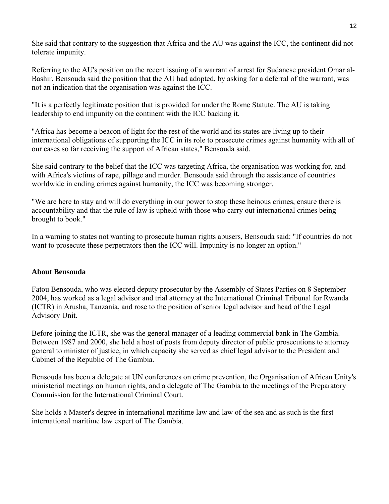She said that contrary to the suggestion that Africa and the AU was against the ICC, the continent did not tolerate impunity.

Referring to the AU's position on the recent issuing of a warrant of arrest for Sudanese president Omar al-Bashir, Bensouda said the position that the AU had adopted, by asking for a deferral of the warrant, was not an indication that the organisation was against the ICC.

"It is a perfectly legitimate position that is provided for under the Rome Statute. The AU is taking leadership to end impunity on the continent with the ICC backing it.

"Africa has become a beacon of light for the rest of the world and its states are living up to their international obligations of supporting the ICC in its role to prosecute crimes against humanity with all of our cases so far receiving the support of African states," Bensouda said.

She said contrary to the belief that the ICC was targeting Africa, the organisation was working for, and with Africa's victims of rape, pillage and murder. Bensouda said through the assistance of countries worldwide in ending crimes against humanity, the ICC was becoming stronger.

"We are here to stay and will do everything in our power to stop these heinous crimes, ensure there is accountability and that the rule of law is upheld with those who carry out international crimes being brought to book."

In a warning to states not wanting to prosecute human rights abusers, Bensouda said: "If countries do not want to prosecute these perpetrators then the ICC will. Impunity is no longer an option."

#### **About Bensouda**

Fatou Bensouda, who was elected deputy prosecutor by the Assembly of States Parties on 8 September 2004, has worked as a legal advisor and trial attorney at the International Criminal Tribunal for Rwanda (ICTR) in Arusha, Tanzania, and rose to the position of senior legal advisor and head of the Legal Advisory Unit.

Before joining the ICTR, she was the general manager of a leading commercial bank in The Gambia. Between 1987 and 2000, she held a host of posts from deputy director of public prosecutions to attorney general to minister of justice, in which capacity she served as chief legal advisor to the President and Cabinet of the Republic of The Gambia.

Bensouda has been a delegate at UN conferences on crime prevention, the Organisation of African Unity's ministerial meetings on human rights, and a delegate of The Gambia to the meetings of the Preparatory Commission for the International Criminal Court.

She holds a Master's degree in international maritime law and law of the sea and as such is the first international maritime law expert of The Gambia.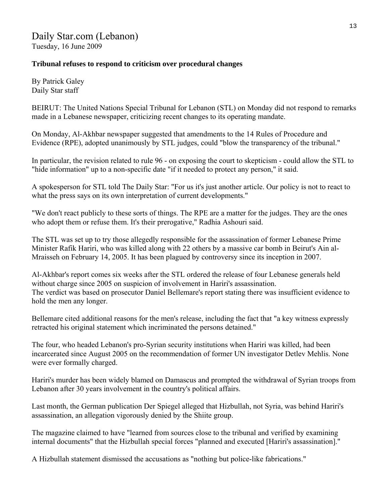## **Tribunal refuses to respond to criticism over procedural changes**

By Patrick Galey Daily Star staff

BEIRUT: The United Nations Special Tribunal for Lebanon (STL) on Monday did not respond to remarks made in a Lebanese newspaper, criticizing recent changes to its operating mandate.

On Monday, Al-Akhbar newspaper suggested that amendments to the 14 Rules of Procedure and Evidence (RPE), adopted unanimously by STL judges, could "blow the transparency of the tribunal."

In particular, the revision related to rule 96 - on exposing the court to skepticism - could allow the STL to "hide information" up to a non-specific date "if it needed to protect any person," it said.

A spokesperson for STL told The Daily Star: "For us it's just another article. Our policy is not to react to what the press says on its own interpretation of current developments."

"We don't react publicly to these sorts of things. The RPE are a matter for the judges. They are the ones who adopt them or refuse them. It's their prerogative," Radhia Ashouri said.

The STL was set up to try those allegedly responsible for the assassination of former Lebanese Prime Minister Rafik Hariri, who was killed along with 22 others by a massive car bomb in Beirut's Ain al-Mraisseh on February 14, 2005. It has been plagued by controversy since its inception in 2007.

Al-Akhbar's report comes six weeks after the STL ordered the release of four Lebanese generals held without charge since 2005 on suspicion of involvement in Hariri's assassination. The verdict was based on prosecutor Daniel Bellemare's report stating there was insufficient evidence to hold the men any longer.

Bellemare cited additional reasons for the men's release, including the fact that "a key witness expressly retracted his original statement which incriminated the persons detained."

The four, who headed Lebanon's pro-Syrian security institutions when Hariri was killed, had been incarcerated since August 2005 on the recommendation of former UN investigator Detlev Mehlis. None were ever formally charged.

Hariri's murder has been widely blamed on Damascus and prompted the withdrawal of Syrian troops from Lebanon after 30 years involvement in the country's political affairs.

Last month, the German publication Der Spiegel alleged that Hizbullah, not Syria, was behind Hariri's assassination, an allegation vigorously denied by the Shiite group.

The magazine claimed to have "learned from sources close to the tribunal and verified by examining internal documents" that the Hizbullah special forces "planned and executed [Hariri's assassination]."

A Hizbullah statement dismissed the accusations as "nothing but police-like fabrications."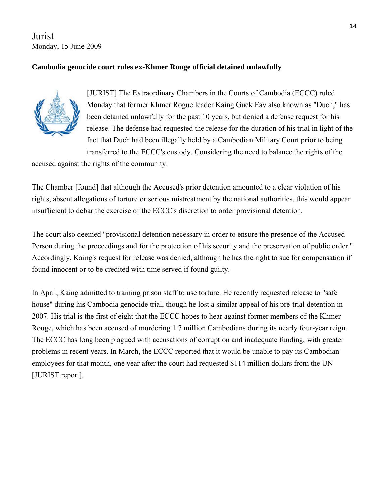Jurist Monday, 15 June 2009

# **Cambodia genocide court rules ex-Khmer Rouge official detained unlawfully**



[JURIST] The [Extraordinary Chambers in the Courts of Cambodia](http://www.eccc.gov.kh/) (ECCC) [ruled](http://www.eccc.gov.kh/english/cabinet/courtDoc/353/E39_5_EN.pdf) Monday that former [Khmer Rogue](http://news.bbc.co.uk/2/hi/asia-pacific/7002629.stm) leader [Kaing Guek Eav](http://www.trial-ch.org/en/trial-watch/profil/db/facts/duch__313.html) also known as "Duch," has been detained unlawfully for the past 10 years, but denied a defense request for his release. The defense had requested the release for the duration of his trial in light of the fact that Duch had been illegally held by a Cambodian Military Court prior to being transferred to the ECCC's custody. Considering the need to balance the rights of the

accused against the rights of the community:

The Chamber [found] that although the Accused's prior detention amounted to a clear violation of his rights, absent allegations of torture or serious mistreatment by the national authorities, this would appear insufficient to debar the exercise of the ECCC's discretion to order provisional detention.

The court also deemed "provisional detention necessary in order to ensure the presence of the Accused Person during the proceedings and for the protection of his security and the preservation of public order." Accordingly, Kaing's request for release was denied, although he has the right to sue for compensation if found innocent or to be credited with time served if found guilty.

In April, Kaing [admitted to training prison staff to use torture.](http://jurist.law.pitt.edu/paperchase/2009/04/ex-khmer-rouge-prison-chief-admits.php) He recently [requested release to "safe](http://jurist.law.pitt.edu/paperchase/2009/04/ex-khmer-rouge-leader-seeks-release-to.php)  [house"](http://jurist.law.pitt.edu/paperchase/2009/04/ex-khmer-rouge-leader-seeks-release-to.php) during his Cambodia genocide trial, though he [lost a similar appeal](http://jurist.law.pitt.edu/paperchase/2007/08/indicted-ex-khmer-rouge-prison-chief.php) of his pre-trial detention in 2007. His trial is the [first of eight](http://jurist.law.pitt.edu/paperchase/2008/02/eccc-to-try-up-to-8-khmer-rouge-ex.php) that the ECCC hopes to hear against former members of the Khmer Rouge, which has been accused of [murdering 1.7 million Cambodians](http://www.ppu.org.uk/genocide/g_cambodia.html) during its nearly four-year reign. The ECCC has long been plagued with accusations of corruption and inadequate funding, with greater problems in recent years. In March, the ECCC reported that it would be [unable to pay its Cambodian](http://jurist.law.pitt.edu/paperchase/2009/03/cambodia-war-crimes-court-unable-to-pay.php)  [employees](http://jurist.law.pitt.edu/paperchase/2009/03/cambodia-war-crimes-court-unable-to-pay.php) for that month, one year after the court had [requested \\$114 million dollars from the UN](http://jurist.law.pitt.edu/paperchase/2008/03/cambodia-genocide-tribunal-seeks.php) [JURIST report].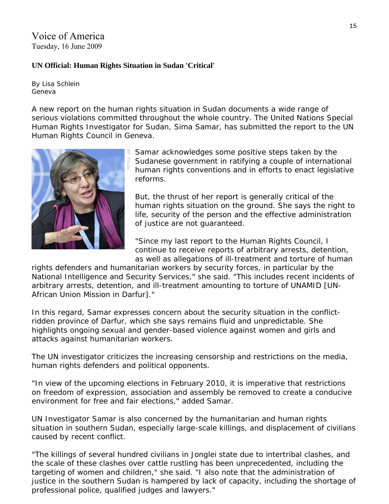Voice of America Tuesday, 16 June 2009

#### **UN Official: Human Rights Situation in Sudan 'Critical'**

By Lisa Schlein Geneva

A new report on the human rights situation in Sudan documents a wide range of serious violations committed throughout the whole country. The United Nations Special Human Rights Investigator for Sudan, Sima Samar, has submitted the report to the UN Human Rights Council in Geneva.



Samar acknowledges some positive steps taken by the Sudanese government in ratifying a couple of international human rights conventions and in efforts to enact legislative reforms.

But, the thrust of her report is generally critical of the human rights situation on the ground. She says the right to life, security of the person and the effective administration of justice are not guaranteed.

"Since my last report to the Human Rights Council, I continue to receive reports of arbitrary arrests, detention, as well as allegations of ill-treatment and torture of human

rights defenders and humanitarian workers by security forces, in particular by the National Intelligence and Security Services," she said. "This includes recent incidents of arbitrary arrests, detention, and ill-treatment amounting to torture of UNAMID [UN-African Union Mission in Darfur]."

In this regard, Samar expresses concern about the security situation in the conflictridden province of Darfur, which she says remains fluid and unpredictable. She highlights ongoing sexual and gender-based violence against women and girls and attacks against humanitarian workers.

The UN investigator criticizes the increasing censorship and restrictions on the media, human rights defenders and political opponents.

"In view of the upcoming elections in February 2010, it is imperative that restrictions on freedom of expression, association and assembly be removed to create a conducive environment for free and fair elections," added Samar.

UN Investigator Samar is also concerned by the humanitarian and human rights situation in southern Sudan, especially large-scale killings, and displacement of civilians caused by recent conflict.

"The killings of several hundred civilians in Jonglei state due to intertribal clashes, and the scale of these clashes over cattle rustling has been unprecedented, including the targeting of women and children," she said. "I also note that the administration of justice in the southern Sudan is hampered by lack of capacity, including the shortage of professional police, qualified judges and lawyers."